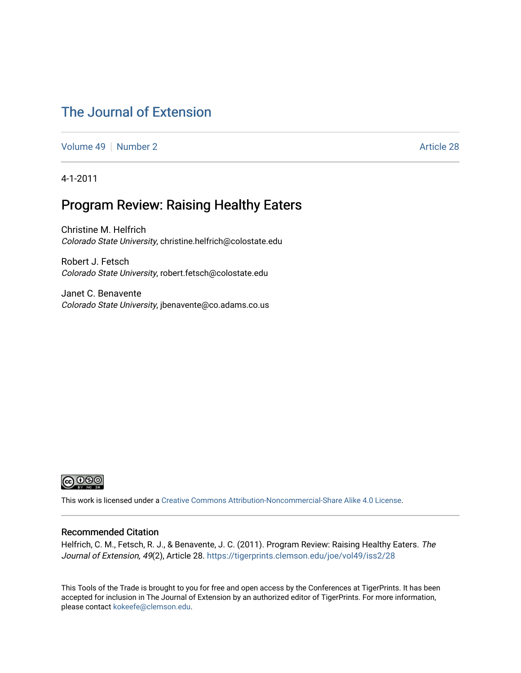### [The Journal of Extension](https://tigerprints.clemson.edu/joe)

[Volume 49](https://tigerprints.clemson.edu/joe/vol49) [Number 2](https://tigerprints.clemson.edu/joe/vol49/iss2) Article 28

4-1-2011

### Program Review: Raising Healthy Eaters

Christine M. Helfrich Colorado State University, christine.helfrich@colostate.edu

Robert J. Fetsch Colorado State University, robert.fetsch@colostate.edu

Janet C. Benavente Colorado State University, jbenavente@co.adams.co.us



This work is licensed under a [Creative Commons Attribution-Noncommercial-Share Alike 4.0 License.](https://creativecommons.org/licenses/by-nc-sa/4.0/)

#### Recommended Citation

Helfrich, C. M., Fetsch, R. J., & Benavente, J. C. (2011). Program Review: Raising Healthy Eaters. The Journal of Extension, 49(2), Article 28.<https://tigerprints.clemson.edu/joe/vol49/iss2/28>

This Tools of the Trade is brought to you for free and open access by the Conferences at TigerPrints. It has been accepted for inclusion in The Journal of Extension by an authorized editor of TigerPrints. For more information, please contact [kokeefe@clemson.edu](mailto:kokeefe@clemson.edu).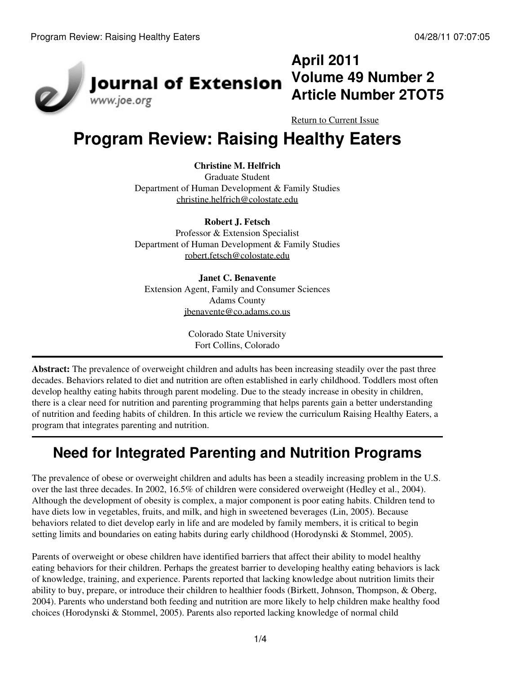

# **April 2011 Volume 49 Number 2 Article Number 2TOT5**

[Return to Current Issue](http://www.joe.org:80/joe/2011april/)

# **Program Review: Raising Healthy Eaters**

**Christine M. Helfrich**

Graduate Student Department of Human Development & Family Studies [christine.helfrich@colostate.edu](mailto:christine.helfrich@colostate.edu)

#### **Robert J. Fetsch**

Professor & Extension Specialist Department of Human Development & Family Studies [robert.fetsch@colostate.edu](mailto:robert.fetsch@colostate.edu)

**Janet C. Benavente** Extension Agent, Family and Consumer Sciences Adams County [jbenavente@co.adams.co.us](mailto:jbenavente@co.adams.co.us)

> Colorado State University Fort Collins, Colorado

**Abstract:** The prevalence of overweight children and adults has been increasing steadily over the past three decades. Behaviors related to diet and nutrition are often established in early childhood. Toddlers most often develop healthy eating habits through parent modeling. Due to the steady increase in obesity in children, there is a clear need for nutrition and parenting programming that helps parents gain a better understanding of nutrition and feeding habits of children. In this article we review the curriculum Raising Healthy Eaters, a program that integrates parenting and nutrition.

# **Need for Integrated Parenting and Nutrition Programs**

The prevalence of obese or overweight children and adults has been a steadily increasing problem in the U.S. over the last three decades. In 2002, 16.5% of children were considered overweight (Hedley et al., 2004). Although the development of obesity is complex, a major component is poor eating habits. Children tend to have diets low in vegetables, fruits, and milk, and high in sweetened beverages (Lin, 2005). Because behaviors related to diet develop early in life and are modeled by family members, it is critical to begin setting limits and boundaries on eating habits during early childhood (Horodynski & Stommel, 2005).

Parents of overweight or obese children have identified barriers that affect their ability to model healthy eating behaviors for their children. Perhaps the greatest barrier to developing healthy eating behaviors is lack of knowledge, training, and experience. Parents reported that lacking knowledge about nutrition limits their ability to buy, prepare, or introduce their children to healthier foods (Birkett, Johnson, Thompson, & Oberg, 2004). Parents who understand both feeding and nutrition are more likely to help children make healthy food choices (Horodynski & Stommel, 2005). Parents also reported lacking knowledge of normal child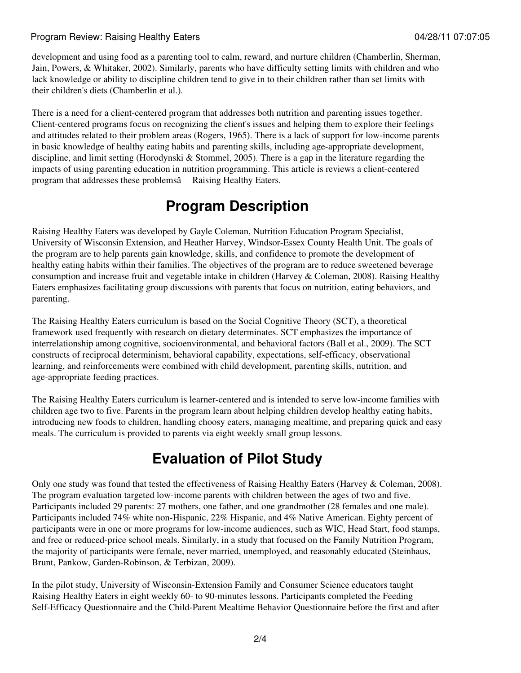#### Program Review: Raising Healthy Eaters **Contract Contract Contract Contract Contract Contract Contract Contract Contract Contract Contract Contract Contract Contract Contract Contract Contract Contract Contract Contract Co**

development and using food as a parenting tool to calm, reward, and nurture children (Chamberlin, Sherman, Jain, Powers, & Whitaker, 2002). Similarly, parents who have difficulty setting limits with children and who lack knowledge or ability to discipline children tend to give in to their children rather than set limits with their children's diets (Chamberlin et al.).

There is a need for a client-centered program that addresses both nutrition and parenting issues together. Client-centered programs focus on recognizing the client's issues and helping them to explore their feelings and attitudes related to their problem areas (Rogers, 1965). There is a lack of support for low-income parents in basic knowledge of healthy eating habits and parenting skills, including age-appropriate development, discipline, and limit setting (Horodynski & Stommel, 2005). There is a gap in the literature regarding the impacts of using parenting education in nutrition programming. This article is reviews a client-centered program that addresses these problemsâ Raising Healthy Eaters.

## **Program Description**

Raising Healthy Eaters was developed by Gayle Coleman, Nutrition Education Program Specialist, University of Wisconsin Extension, and Heather Harvey, Windsor-Essex County Health Unit. The goals of the program are to help parents gain knowledge, skills, and confidence to promote the development of healthy eating habits within their families. The objectives of the program are to reduce sweetened beverage consumption and increase fruit and vegetable intake in children (Harvey & Coleman, 2008). Raising Healthy Eaters emphasizes facilitating group discussions with parents that focus on nutrition, eating behaviors, and parenting.

The Raising Healthy Eaters curriculum is based on the Social Cognitive Theory (SCT), a theoretical framework used frequently with research on dietary determinates. SCT emphasizes the importance of interrelationship among cognitive, socioenvironmental, and behavioral factors (Ball et al., 2009). The SCT constructs of reciprocal determinism, behavioral capability, expectations, self-efficacy, observational learning, and reinforcements were combined with child development, parenting skills, nutrition, and age-appropriate feeding practices.

The Raising Healthy Eaters curriculum is learner-centered and is intended to serve low-income families with children age two to five. Parents in the program learn about helping children develop healthy eating habits, introducing new foods to children, handling choosy eaters, managing mealtime, and preparing quick and easy meals. The curriculum is provided to parents via eight weekly small group lessons.

# **Evaluation of Pilot Study**

Only one study was found that tested the effectiveness of Raising Healthy Eaters (Harvey & Coleman, 2008). The program evaluation targeted low-income parents with children between the ages of two and five. Participants included 29 parents: 27 mothers, one father, and one grandmother (28 females and one male). Participants included 74% white non-Hispanic, 22% Hispanic, and 4% Native American. Eighty percent of participants were in one or more programs for low-income audiences, such as WIC, Head Start, food stamps, and free or reduced-price school meals. Similarly, in a study that focused on the Family Nutrition Program, the majority of participants were female, never married, unemployed, and reasonably educated (Steinhaus, Brunt, Pankow, Garden-Robinson, & Terbizan, 2009).

In the pilot study, University of Wisconsin-Extension Family and Consumer Science educators taught Raising Healthy Eaters in eight weekly 60- to 90-minutes lessons. Participants completed the Feeding Self-Efficacy Questionnaire and the Child-Parent Mealtime Behavior Questionnaire before the first and after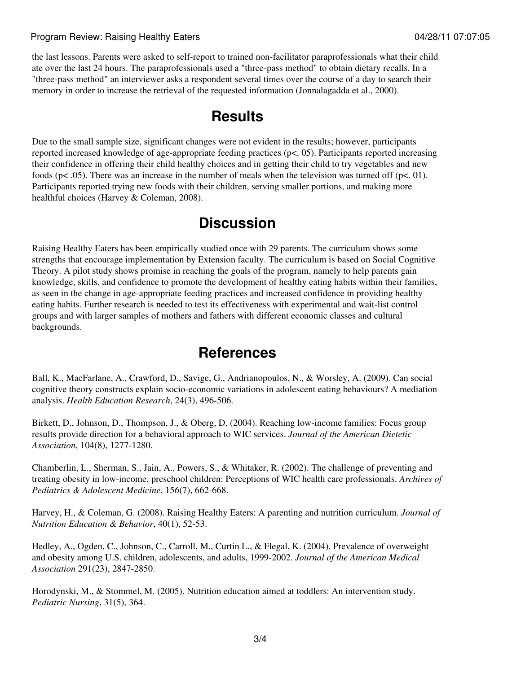#### Program Review: Raising Healthy Eaters **Contract Contract Contract Contract Contract Contract Contract Contract Contract Contract Contract Contract Contract Contract Contract Contract Contract Contract Contract Contract Co**

the last lessons. Parents were asked to self-report to trained non-facilitator paraprofessionals what their child ate over the last 24 hours. The paraprofessionals used a "three-pass method" to obtain dietary recalls. In a "three-pass method" an interviewer asks a respondent several times over the course of a day to search their memory in order to increase the retrieval of the requested information (Jonnalagadda et al., 2000).

### **Results**

Due to the small sample size, significant changes were not evident in the results; however, participants reported increased knowledge of age-appropriate feeding practices (p<. 05). Participants reported increasing their confidence in offering their child healthy choices and in getting their child to try vegetables and new foods ( $p < .05$ ). There was an increase in the number of meals when the television was turned off ( $p < .01$ ). Participants reported trying new foods with their children, serving smaller portions, and making more healthful choices (Harvey & Coleman, 2008).

### **Discussion**

Raising Healthy Eaters has been empirically studied once with 29 parents. The curriculum shows some strengths that encourage implementation by Extension faculty. The curriculum is based on Social Cognitive Theory. A pilot study shows promise in reaching the goals of the program, namely to help parents gain knowledge, skills, and confidence to promote the development of healthy eating habits within their families, as seen in the change in age-appropriate feeding practices and increased confidence in providing healthy eating habits. Further research is needed to test its effectiveness with experimental and wait-list control groups and with larger samples of mothers and fathers with different economic classes and cultural backgrounds.

### **References**

Ball, K., MacFarlane, A., Crawford, D., Savige, G., Andrianopoulos, N., & Worsley, A. (2009). Can social cognitive theory constructs explain socio-economic variations in adolescent eating behaviours? A mediation analysis. *Health Education Research*, 24(3), 496-506.

Birkett, D., Johnson, D., Thompson, J., & Oberg, D. (2004). Reaching low-income families: Focus group results provide direction for a behavioral approach to WIC services. *Journal of the American Dietetic Association*, 104(8), 1277-1280.

Chamberlin, L., Sherman, S., Jain, A., Powers, S., & Whitaker, R. (2002). The challenge of preventing and treating obesity in low-income, preschool children: Perceptions of WIC health care professionals. *Archives of Pediatrics & Adolescent Medicine*, 15*6*(7), 662-668.

Harvey, H., & Coleman, G. (2008). Raising Healthy Eaters: A parenting and nutrition curriculum. *Journal of Nutrition Education & Behavior*, 40(1), 52-53.

Hedley, A., Ogden, C., Johnson, C., Carroll, M., Curtin L., & Flegal, K. (2004). Prevalence of overweight and obesity among U.S. children, adolescents, and adults, 1999-2002. *Journal of the American Medical Association* 291(23), 2847-2850.

Horodynski, M., & Stommel, M. (2005). Nutrition education aimed at toddlers: An intervention study. *Pediatric Nursing*, 31(5), 364.